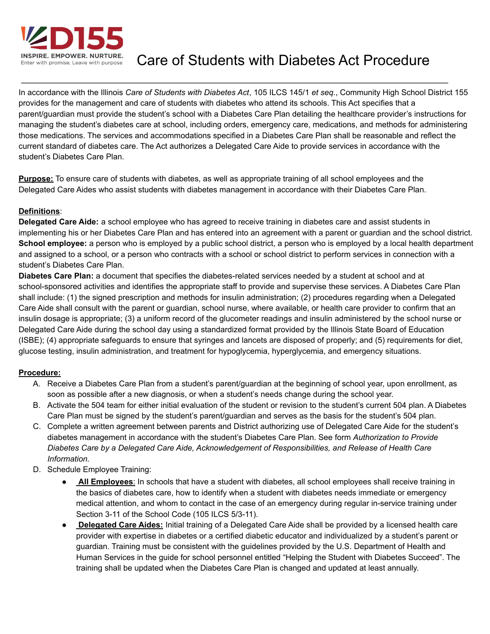

Care of Students with Diabetes Act Procedure

In accordance with the Illinois *Care of Students with Diabetes Act*, 105 ILCS 145/1 *et seq.*, Community High School District 155 provides for the management and care of students with diabetes who attend its schools. This Act specifies that a parent/guardian must provide the student's school with a Diabetes Care Plan detailing the healthcare provider's instructions for managing the student's diabetes care at school, including orders, emergency care, medications, and methods for administering those medications. The services and accommodations specified in a Diabetes Care Plan shall be reasonable and reflect the current standard of diabetes care. The Act authorizes a Delegated Care Aide to provide services in accordance with the student's Diabetes Care Plan.

**Purpose:** To ensure care of students with diabetes, as well as appropriate training of all school employees and the Delegated Care Aides who assist students with diabetes management in accordance with their Diabetes Care Plan.

## **Definitions**:

**Delegated Care Aide:** a school employee who has agreed to receive training in diabetes care and assist students in implementing his or her Diabetes Care Plan and has entered into an agreement with a parent or guardian and the school district. **School employee:** a person who is employed by a public school district, a person who is employed by a local health department and assigned to a school, or a person who contracts with a school or school district to perform services in connection with a student's Diabetes Care Plan.

**Diabetes Care Plan:** a document that specifies the diabetes-related services needed by a student at school and at school-sponsored activities and identifies the appropriate staff to provide and supervise these services. A Diabetes Care Plan shall include: (1) the signed prescription and methods for insulin administration; (2) procedures regarding when a Delegated Care Aide shall consult with the parent or guardian, school nurse, where available, or health care provider to confirm that an insulin dosage is appropriate; (3) a uniform record of the glucometer readings and insulin administered by the school nurse or Delegated Care Aide during the school day using a standardized format provided by the Illinois State Board of Education (ISBE); (4) appropriate safeguards to ensure that syringes and lancets are disposed of properly; and (5) requirements for diet, glucose testing, insulin administration, and treatment for hypoglycemia, hyperglycemia, and emergency situations.

## **Procedure:**

- A. Receive a Diabetes Care Plan from a student's parent/guardian at the beginning of school year, upon enrollment, as soon as possible after a new diagnosis, or when a student's needs change during the school year.
- B. Activate the 504 team for either initial evaluation of the student or revision to the student's current 504 plan. A Diabetes Care Plan must be signed by the student's parent/guardian and serves as the basis for the student's 504 plan.
- C. Complete a written agreement between parents and District authorizing use of Delegated Care Aide for the student's diabetes management in accordance with the student's Diabetes Care Plan. See form *Authorization to Provide Diabetes Care by a Delegated Care Aide, Acknowledgement of Responsibilities, and Release of Health Care Information.*
- D. Schedule Employee Training:
	- **All Employees**: In schools that have a student with diabetes, all school employees shall receive training in the basics of diabetes care, how to identify when a student with diabetes needs immediate or emergency medical attention, and whom to contact in the case of an emergency during regular in-service training under Section 3-11 of the School Code (105 ILCS 5/3-11).
	- **Delegated Care Aides:** Initial training of a Delegated Care Aide shall be provided by a licensed health care provider with expertise in diabetes or a certified diabetic educator and individualized by a student's parent or guardian. Training must be consistent with the guidelines provided by the U.S. Department of Health and Human Services in the guide for school personnel entitled "Helping the Student with Diabetes Succeed". The training shall be updated when the Diabetes Care Plan is changed and updated at least annually.